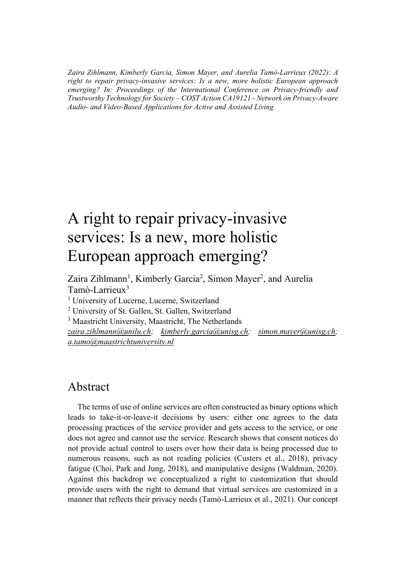*Zaira Zihlmann, Kimberly Garcia, Simon Mayer, and Aurelia Tamò-Larrieux (2022): A right to repair privacy-invasive services: Is a new, more holistic European approach emerging? In: Proceedings of the International Conference on Privacy-friendly and Trustworthy Technology for Society – COST Action CA19121 - Network on Privacy-Aware Audio- and Video-Based Applications for Active and Assisted Living*

## A right to repair privacy-invasive services: Is a new, more holistic European approach emerging?

Zaira Zihlmann<sup>1</sup>, Kimberly Garcia<sup>2</sup>, Simon Mayer<sup>2</sup>, and Aurelia Tamò-Larrieux<sup>3</sup>

<sup>1</sup> University of Lucerne, Lucerne, Switzerland

<sup>2</sup> University of St. Gallen, St. Gallen, Switzerland

<sup>3</sup> Maastricht University, Maastricht, The Netherlands *[zaira.zihlmann@unilu.ch;](mailto:zaira.zihlmann@unilu.ch) [kimberly.garcia@unisg.ch;](mailto:kimberly.garcia@unisg.ch) [simon.mayer@unisg.ch;](mailto:simon.mayer@unisg.ch) [a.tamo@maastrichtuniversity.nl](mailto:a.tamo@maastrichtuniversity.nl)*

## Abstract

The terms of use of online services are often constructed as binary options which leads to take-it-or-leave-it decisions by users: either one agrees to the data processing practices of the service provider and gets access to the service, or one does not agree and cannot use the service. Research shows that consent notices do not provide actual control to users over how their data is being processed due to numerous reasons, such as not reading policies (Custers et al., 2018), privacy fatigue (Choi, Park and Jung, 2018), and manipulative designs (Waldman, 2020). Against this backdrop we conceptualized a right to customization that should provide users with the right to demand that virtual services are customized in a manner that reflects their privacy needs (Tamò-Larrieux et al., 2021). Our concept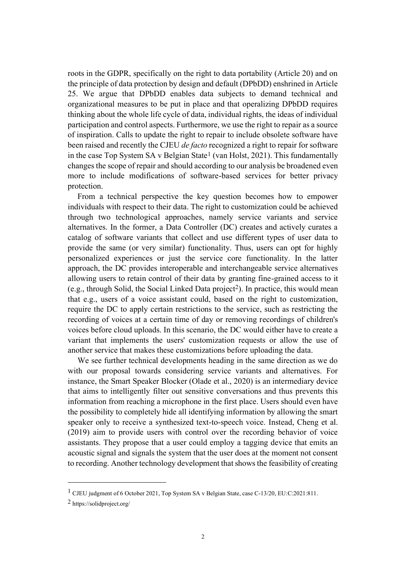roots in the GDPR, specifically on the right to data portability (Article 20) and on the principle of data protection by design and default (DPbDD) enshrined in Article 25. We argue that DPbDD enables data subjects to demand technical and organizational measures to be put in place and that operalizing DPbDD requires thinking about the whole life cycle of data, individual rights, the ideas of individual participation and control aspects. Furthermore, we use the right to repair as a source of inspiration. Calls to update the right to repair to include obsolete software have been raised and recently the CJEU *de facto* recognized a right to repair for software in the case Top System SA v Belgian State<sup>1</sup> (van Holst, 2021). This fundamentally changes the scope of repair and should according to our analysis be broadened even more to include modifications of software-based services for better privacy protection.

From a technical perspective the key question becomes how to empower individuals with respect to their data. The right to customization could be achieved through two technological approaches, namely service variants and service alternatives. In the former, a Data Controller (DC) creates and actively curates a catalog of software variants that collect and use different types of user data to provide the same (or very similar) functionality. Thus, users can opt for highly personalized experiences or just the service core functionality. In the latter approach, the DC provides interoperable and interchangeable service alternatives allowing users to retain control of their data by granting fine-grained access to it (e.g., through Solid, the Social Linked Data project<sup>2</sup>). In practice, this would mean that e.g., users of a voice assistant could, based on the right to customization, require the DC to apply certain restrictions to the service, such as restricting the recording of voices at a certain time of day or removing recordings of children's voices before cloud uploads. In this scenario, the DC would either have to create a variant that implements the users' customization requests or allow the use of another service that makes these customizations before uploading the data.

We see further technical developments heading in the same direction as we do with our proposal towards considering service variants and alternatives. For instance, the Smart Speaker Blocker (Olade et al., 2020) is an intermediary device that aims to intelligently filter out sensitive conversations and thus prevents this information from reaching a microphone in the first place. Users should even have the possibility to completely hide all identifying information by allowing the smart speaker only to receive a synthesized text-to-speech voice. Instead, Cheng et al. (2019) aim to provide users with control over the recording behavior of voice assistants. They propose that a user could employ a tagging device that emits an acoustic signal and signals the system that the user does at the moment not consent to recording. Another technology development that shows the feasibility of creating

<sup>1</sup> CJEU judgment of 6 October 2021, Top System SA v Belgian State, case C‑13/20, EU:C:2021:811.

<sup>2</sup> https://solidproject.org/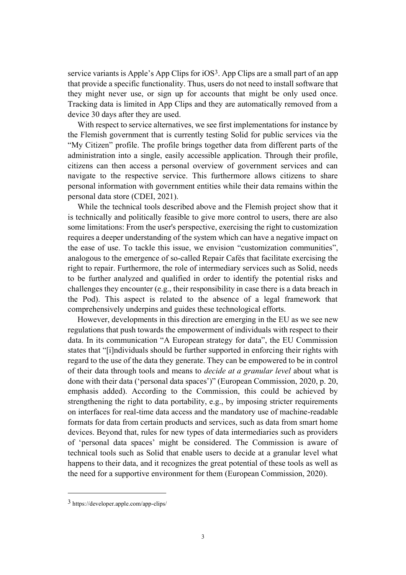service variants is Apple's App Clips for  $iOS<sup>3</sup>$ . App Clips are a small part of an app that provide a specific functionality. Thus, users do not need to install software that they might never use, or sign up for accounts that might be only used once. Tracking data is limited in App Clips and they are automatically removed from a device 30 days after they are used.

With respect to service alternatives, we see first implementations for instance by the Flemish government that is currently testing Solid for public services via the "My Citizen" profile. The profile brings together data from different parts of the administration into a single, easily accessible application. Through their profile, citizens can then access a personal overview of government services and can navigate to the respective service. This furthermore allows citizens to share personal information with government entities while their data remains within the personal data store (CDEI, 2021).

While the technical tools described above and the Flemish project show that it is technically and politically feasible to give more control to users, there are also some limitations: From the user's perspective, exercising the right to customization requires a deeper understanding of the system which can have a negative impact on the ease of use. To tackle this issue, we envision "customization communities", analogous to the emergence of so-called Repair Cafés that facilitate exercising the right to repair. Furthermore, the role of intermediary services such as Solid, needs to be further analyzed and qualified in order to identify the potential risks and challenges they encounter (e.g., their responsibility in case there is a data breach in the Pod). This aspect is related to the absence of a legal framework that comprehensively underpins and guides these technological efforts.

However, developments in this direction are emerging in the EU as we see new regulations that push towards the empowerment of individuals with respect to their data. In its communication "A European strategy for data", the EU Commission states that "[i]ndividuals should be further supported in enforcing their rights with regard to the use of the data they generate. They can be empowered to be in control of their data through tools and means to *decide at a granular level* about what is done with their data ('personal data spaces')" (European Commission, 2020, p. 20, emphasis added). According to the Commission, this could be achieved by strengthening the right to data portability, e.g., by imposing stricter requirements on interfaces for real-time data access and the mandatory use of machine-readable formats for data from certain products and services, such as data from smart home devices. Beyond that, rules for new types of data intermediaries such as providers of 'personal data spaces' might be considered. The Commission is aware of technical tools such as Solid that enable users to decide at a granular level what happens to their data, and it recognizes the great potential of these tools as well as the need for a supportive environment for them (European Commission, 2020).

<sup>3</sup> https://developer.apple.com/app-clips/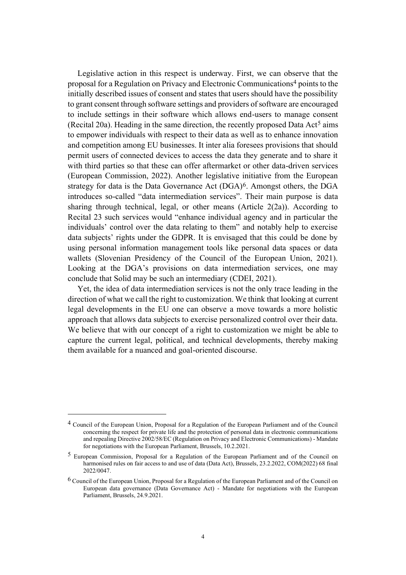Legislative action in this respect is underway. First, we can observe that the proposal for a Regulation on Privacy and Electronic Communications4 points to the initially described issues of consent and states that users should have the possibility to grant consent through software settings and providers of software are encouraged to include settings in their software which allows end-users to manage consent (Recital 20a). Heading in the same direction, the recently proposed Data Act<sup>5</sup> aims to empower individuals with respect to their data as well as to enhance innovation and competition among EU businesses. It inter alia foresees provisions that should permit users of connected devices to access the data they generate and to share it with third parties so that these can offer aftermarket or other data-driven services (European Commission, 2022). Another legislative initiative from the European strategy for data is the Data Governance Act (DGA)<sup>6</sup>. Amongst others, the DGA introduces so-called "data intermediation services". Their main purpose is data sharing through technical, legal, or other means (Article 2(2a)). According to Recital 23 such services would "enhance individual agency and in particular the individuals' control over the data relating to them" and notably help to exercise data subjects' rights under the GDPR. It is envisaged that this could be done by using personal information management tools like personal data spaces or data wallets (Slovenian Presidency of the Council of the European Union, 2021). Looking at the DGA's provisions on data intermediation services, one may conclude that Solid may be such an intermediary (CDEI, 2021).

Yet, the idea of data intermediation services is not the only trace leading in the direction of what we call the right to customization. We think that looking at current legal developments in the EU one can observe a move towards a more holistic approach that allows data subjects to exercise personalized control over their data. We believe that with our concept of a right to customization we might be able to capture the current legal, political, and technical developments, thereby making them available for a nuanced and goal-oriented discourse.

<sup>4</sup> Council of the European Union, Proposal for a Regulation of the European Parliament and of the Council concerning the respect for private life and the protection of personal data in electronic communications and repealing Directive 2002/58/EC (Regulation on Privacy and Electronic Communications) - Mandate for negotiations with the European Parliament, Brussels, 10.2.2021.

<sup>5</sup> European Commission, Proposal for a Regulation of the European Parliament and of the Council on harmonised rules on fair access to and use of data (Data Act), Brussels, 23.2.2022, COM(2022) 68 final 2022/0047.

<sup>6</sup> Council of the European Union, Proposal for a Regulation of the European Parliament and of the Council on European data governance (Data Governance Act) - Mandate for negotiations with the European Parliament, Brussels, 24.9.2021.